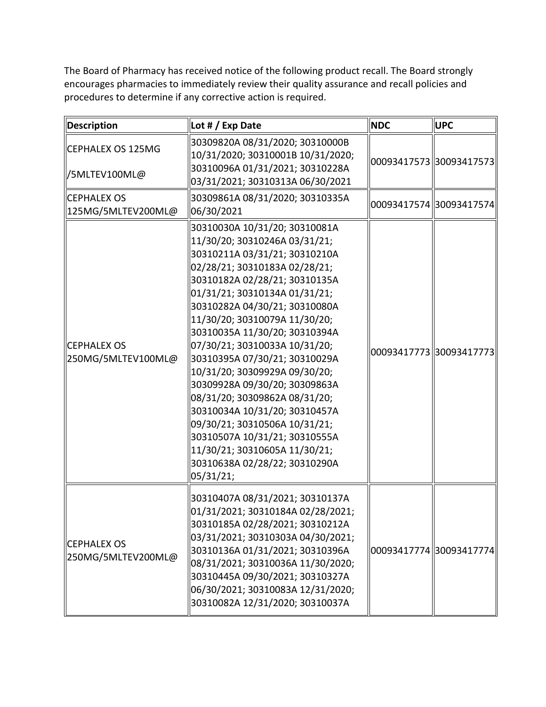The Board of Pharmacy has received notice of the following product recall. The Board strongly encourages pharmacies to immediately review their quality assurance and recall policies and procedures to determine if any corrective action is required.

| <b>Description</b>                       | Lot # / Exp Date                                                                                                                                                                                                                                                                                                                                                                                                                                                                                                                                                                                                                                             | <b>NDC</b>              | <b>UPC</b>              |
|------------------------------------------|--------------------------------------------------------------------------------------------------------------------------------------------------------------------------------------------------------------------------------------------------------------------------------------------------------------------------------------------------------------------------------------------------------------------------------------------------------------------------------------------------------------------------------------------------------------------------------------------------------------------------------------------------------------|-------------------------|-------------------------|
| CEPHALEX OS 125MG<br>  /5MLTEV100ML@     | 30309820A 08/31/2020; 30310000B<br>10/31/2020; 30310001B 10/31/2020;<br>30310096A 01/31/2021; 30310228A<br>03/31/2021; 30310313A 06/30/2021                                                                                                                                                                                                                                                                                                                                                                                                                                                                                                                  | 00093417573 30093417573 |                         |
| <b>CEPHALEX OS</b><br>125MG/5MLTEV200ML@ | 30309861A 08/31/2020; 30310335A<br>06/30/2021                                                                                                                                                                                                                                                                                                                                                                                                                                                                                                                                                                                                                | 00093417574 30093417574 |                         |
| <b>CEPHALEX OS</b><br>250MG/5MLTEV100ML@ | 30310030A 10/31/20; 30310081A<br>11/30/20; 30310246A 03/31/21;<br>30310211A 03/31/21; 30310210A<br>02/28/21; 30310183A 02/28/21;<br>30310182A 02/28/21; 30310135A<br>01/31/21; 30310134A 01/31/21;<br>30310282A 04/30/21; 30310080A<br>11/30/20; 30310079A 11/30/20;<br>30310035A 11/30/20; 30310394A<br>07/30/21; 30310033A 10/31/20;<br>30310395A 07/30/21; 30310029A<br>10/31/20; 30309929A 09/30/20;<br>30309928A 09/30/20; 30309863A<br>08/31/20; 30309862A 08/31/20;<br>30310034A 10/31/20; 30310457A<br>09/30/21; 30310506A 10/31/21;<br>30310507A 10/31/21; 30310555A<br>11/30/21; 30310605A 11/30/21;<br>30310638A 02/28/22; 30310290A<br>05/31/21; |                         | 00093417773 30093417773 |
| <b>CEPHALEX OS</b><br>250MG/5MLTEV200ML@ | 30310407A 08/31/2021; 30310137A<br>01/31/2021; 30310184A 02/28/2021;<br>30310185A 02/28/2021; 30310212A<br>03/31/2021; 30310303A 04/30/2021;<br>30310136A 01/31/2021; 30310396A<br>08/31/2021; 30310036A 11/30/2020;<br>30310445A 09/30/2021; 30310327A<br>06/30/2021; 30310083A 12/31/2020;<br>30310082A 12/31/2020; 30310037A                                                                                                                                                                                                                                                                                                                              | 00093417774 30093417774 |                         |